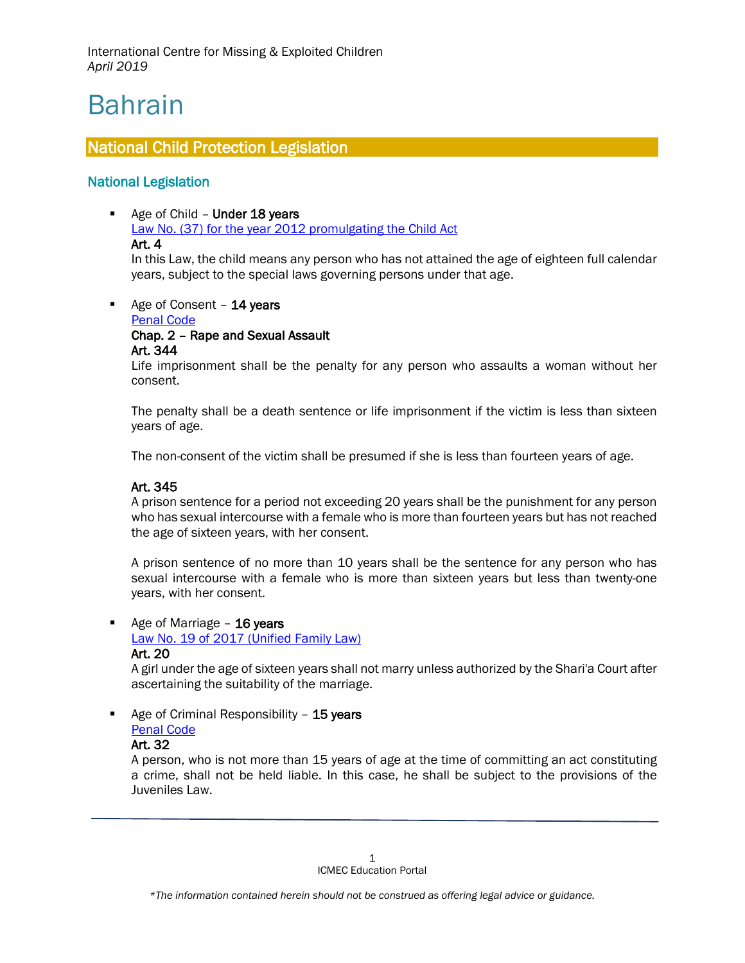# Bahrain

 $\overline{a}$ 

# National Child Protection Legislation

# National Legislation

Age of Child - Under 18 years [Law No. \(37\) for the year 2012 promulgating the Child Act](http://www.legalaffairs.gov.bh/2050.aspx?cms=q8FmFJgiscJUAh5wTFxPQnjc67hw%2bcd53dCDU8XkwhyDqZn9xoYKj00VcN77lrgewZykAGkSyB5uBapJIzI%2fAQ%3d%3d#.XJRBwChKjZs)  Art. 4

In this Law, the child means any person who has not attained the age of eighteen full calendar years, subject to the special laws governing persons under that age.

Age of Consent  $-$  14 years [Penal Code](http://www.unodc.org/res/cld/document/bhr/1976/bahrain_penal_code_html/Bahrain_Penal_Code_1976.pdf) Chap. 2 – Rape and Sexual Assault

## Art. 344

Life imprisonment shall be the penalty for any person who assaults a woman without her consent.

The penalty shall be a death sentence or life imprisonment if the victim is less than sixteen years of age.

The non-consent of the victim shall be presumed if she is less than fourteen years of age.

## Art. 345

A prison sentence for a period not exceeding 20 years shall be the punishment for any person who has sexual intercourse with a female who is more than fourteen years but has not reached the age of sixteen years, with her consent.

A prison sentence of no more than 10 years shall be the sentence for any person who has sexual intercourse with a female who is more than sixteen years but less than twenty-one years, with her consent.

Age of Marriage - 16 years

[Law No. 19 of 2017 \(Unified Family Law\)](http://www.legalaffairs.gov.bh/145311.aspx?cms=q8FmFJgiscJUAh5wTFxPQnjc67hw%2Bcd53dCDU8XkwhyDqZn9xoYKj9f0qG4hSYhex5IjUFv928fIwGx5ECMAsg%3D%3D#.XKOO6JhKiUk) Art. 20

A girl under the age of sixteen years shall not marry unless authorized by the Shari'a Court after ascertaining the suitability of the marriage.

Age of Criminal Responsibility  $-15$  years [Penal Code](http://www.unodc.org/res/cld/document/bhr/1976/bahrain_penal_code_html/Bahrain_Penal_Code_1976.pdf)

## Art. 32

A person, who is not more than 15 years of age at the time of committing an act constituting a crime, shall not be held liable. In this case, he shall be subject to the provisions of the Juveniles Law.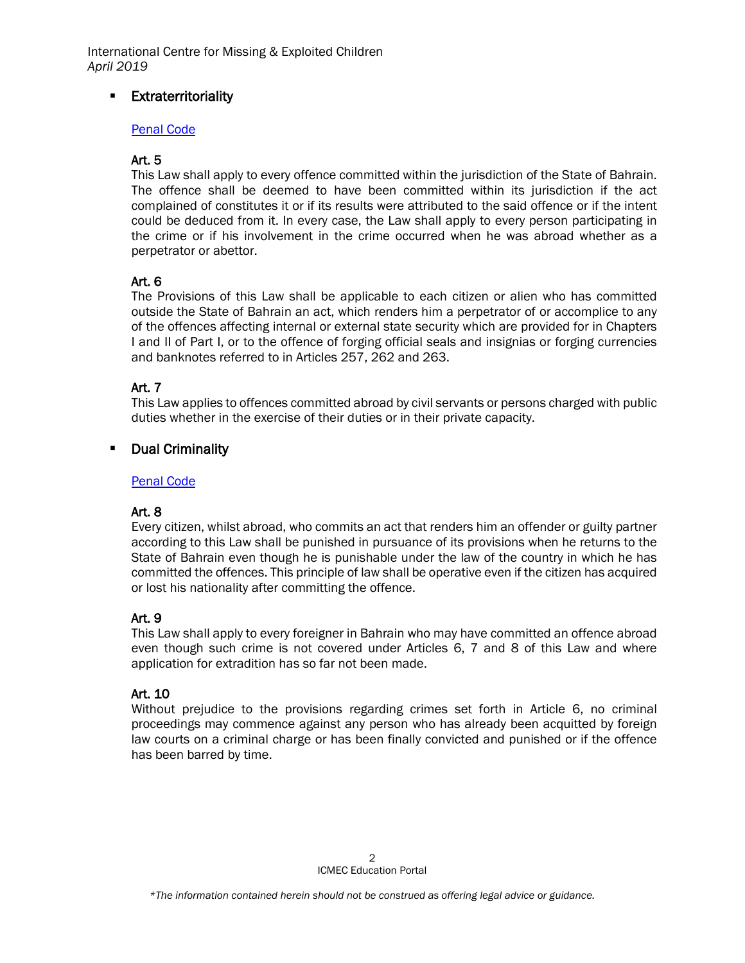# **Extraterritoriality**

## [Penal Code](http://www.unodc.org/res/cld/document/bhr/1976/bahrain_penal_code_html/Bahrain_Penal_Code_1976.pdf)

## Art. 5

This Law shall apply to every offence committed within the jurisdiction of the State of Bahrain. The offence shall be deemed to have been committed within its jurisdiction if the act complained of constitutes it or if its results were attributed to the said offence or if the intent could be deduced from it. In every case, the Law shall apply to every person participating in the crime or if his involvement in the crime occurred when he was abroad whether as a perpetrator or abettor.

## Art. 6

The Provisions of this Law shall be applicable to each citizen or alien who has committed outside the State of Bahrain an act, which renders him a perpetrator of or accomplice to any of the offences affecting internal or external state security which are provided for in Chapters I and II of Part I, or to the offence of forging official seals and insignias or forging currencies and banknotes referred to in Articles 257, 262 and 263.

## Art. 7

This Law applies to offences committed abroad by civil servants or persons charged with public duties whether in the exercise of their duties or in their private capacity.

## **-** Dual Criminality

#### [Penal Code](http://www.unodc.org/res/cld/document/bhr/1976/bahrain_penal_code_html/Bahrain_Penal_Code_1976.pdf)

## Art. 8

Every citizen, whilst abroad, who commits an act that renders him an offender or guilty partner according to this Law shall be punished in pursuance of its provisions when he returns to the State of Bahrain even though he is punishable under the law of the country in which he has committed the offences. This principle of law shall be operative even if the citizen has acquired or lost his nationality after committing the offence.

## Art. 9

This Law shall apply to every foreigner in Bahrain who may have committed an offence abroad even though such crime is not covered under Articles 6, 7 and 8 of this Law and where application for extradition has so far not been made.

## Art. 10

Without prejudice to the provisions regarding crimes set forth in Article 6, no criminal proceedings may commence against any person who has already been acquitted by foreign law courts on a criminal charge or has been finally convicted and punished or if the offence has been barred by time.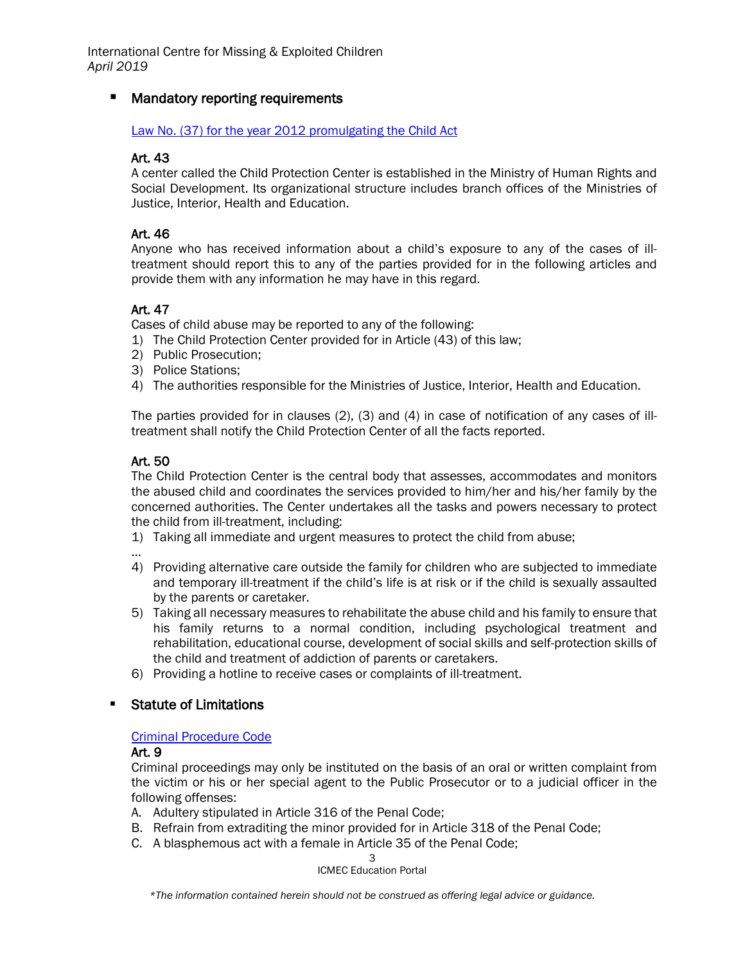# **E** Mandatory reporting requirements

#### [Law No. \(37\) for the year 2012 promulgating the Child Act](http://www.legalaffairs.gov.bh/2050.aspx?cms=q8FmFJgiscJUAh5wTFxPQnjc67hw%2bcd53dCDU8XkwhyDqZn9xoYKj00VcN77lrgewZykAGkSyB5uBapJIzI%2fAQ%3d%3d#.XJRBwChKjZs)

## Art. 43

A center called the Child Protection Center is established in the Ministry of Human Rights and Social Development. Its organizational structure includes branch offices of the Ministries of Justice, Interior, Health and Education.

## Art. 46

Anyone who has received information about a child's exposure to any of the cases of illtreatment should report this to any of the parties provided for in the following articles and provide them with any information he may have in this regard.

## Art. 47

Cases of child abuse may be reported to any of the following:

- 1) The Child Protection Center provided for in Article (43) of this law;
- 2) Public Prosecution;
- 3) Police Stations;
- 4) The authorities responsible for the Ministries of Justice, Interior, Health and Education.

The parties provided for in clauses (2), (3) and (4) in case of notification of any cases of illtreatment shall notify the Child Protection Center of all the facts reported.

## Art. 50

The Child Protection Center is the central body that assesses, accommodates and monitors the abused child and coordinates the services provided to him/her and his/her family by the concerned authorities. The Center undertakes all the tasks and powers necessary to protect the child from ill-treatment, including:

1) Taking all immediate and urgent measures to protect the child from abuse;

- …
- 4) Providing alternative care outside the family for children who are subjected to immediate and temporary ill-treatment if the child's life is at risk or if the child is sexually assaulted by the parents or caretaker.
- 5) Taking all necessary measures to rehabilitate the abuse child and his family to ensure that his family returns to a normal condition, including psychological treatment and rehabilitation, educational course, development of social skills and self-protection skills of the child and treatment of addiction of parents or caretakers.
- 6) Providing a hotline to receive cases or complaints of ill-treatment.

## **Statute of Limitations**

#### [Criminal Procedure Code](http://www.legalaffairs.gov.bh/AdvancedSearchDetails.aspx?id=5651#.XKKQgZhKiUl)

#### Art. 9

Criminal proceedings may only be instituted on the basis of an oral or written complaint from the victim or his or her special agent to the Public Prosecutor or to a judicial officer in the following offenses:

- A. Adultery stipulated in Article 316 of the Penal Code;
- B. Refrain from extraditing the minor provided for in Article 318 of the Penal Code;
- C. A blasphemous act with a female in Article 35 of the Penal Code;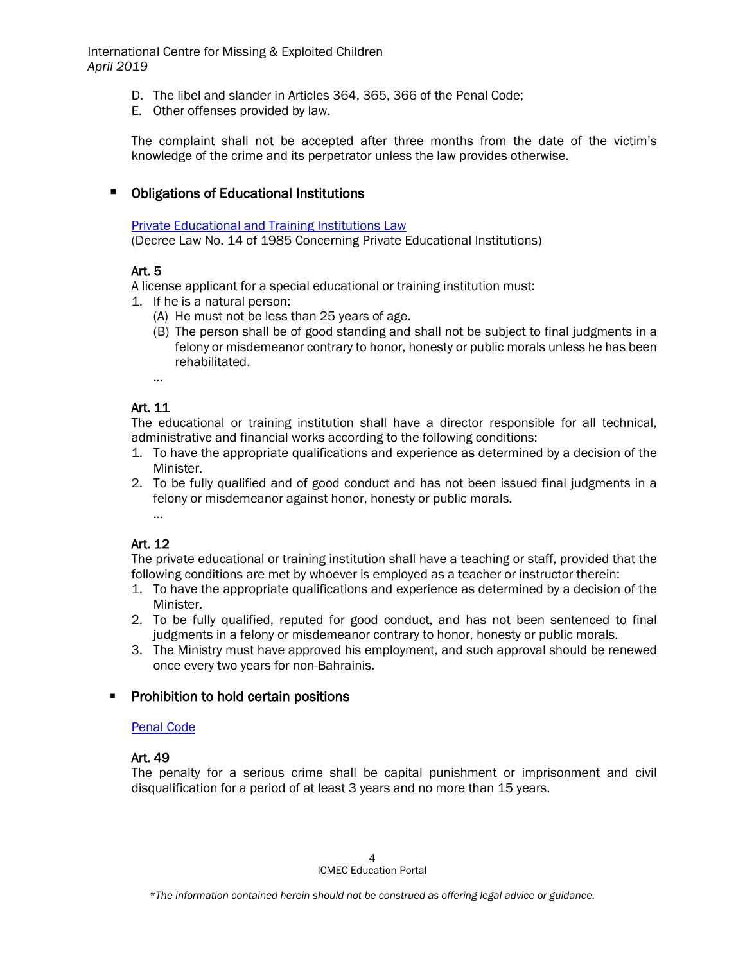- D. The libel and slander in Articles 364, 365, 366 of the Penal Code;
- E. Other offenses provided by law.

The complaint shall not be accepted after three months from the date of the victim's knowledge of the crime and its perpetrator unless the law provides otherwise.

## **• Obligations of Educational Institutions**

[Private Educational and Training Institutions Law](http://www.moe.gov.bh/laws/private2.aspx?lan=en) (Decree Law No. 14 of 1985 Concerning Private Educational Institutions)

## Art. 5

A license applicant for a special educational or training institution must:

- 1. If he is a natural person:
	- (A) He must not be less than 25 years of age.
	- (B) The person shall be of good standing and shall not be subject to final judgments in a felony or misdemeanor contrary to honor, honesty or public morals unless he has been rehabilitated.

…

# Art. 11

The educational or training institution shall have a director responsible for all technical, administrative and financial works according to the following conditions:

- 1. To have the appropriate qualifications and experience as determined by a decision of the Minister.
- 2. To be fully qualified and of good conduct and has not been issued final judgments in a felony or misdemeanor against honor, honesty or public morals. …

# Art. 12

The private educational or training institution shall have a teaching or staff, provided that the following conditions are met by whoever is employed as a teacher or instructor therein:

- 1. To have the appropriate qualifications and experience as determined by a decision of the Minister.
- 2. To be fully qualified, reputed for good conduct, and has not been sentenced to final judgments in a felony or misdemeanor contrary to honor, honesty or public morals.
- 3. The Ministry must have approved his employment, and such approval should be renewed once every two years for non-Bahrainis.

## **Prohibition to hold certain positions**

#### [Penal Code](http://www.unodc.org/res/cld/document/bhr/1976/bahrain_penal_code_html/Bahrain_Penal_Code_1976.pdf)

## Art. 49

The penalty for a serious crime shall be capital punishment or imprisonment and civil disqualification for a period of at least 3 years and no more than 15 years.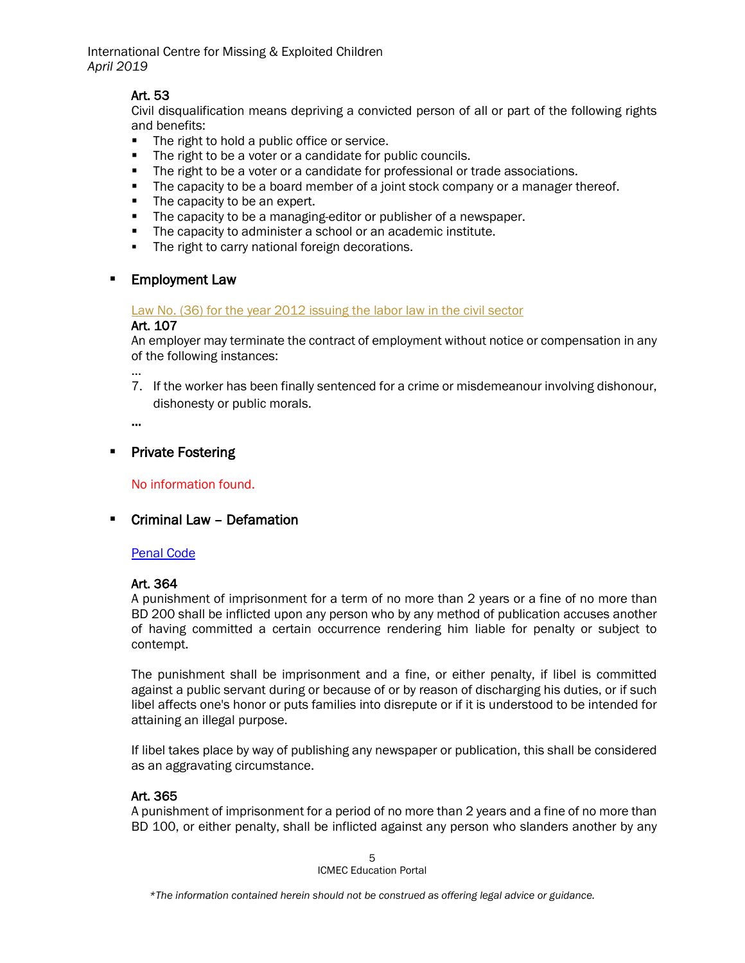# Art. 53

Civil disqualification means depriving a convicted person of all or part of the following rights and benefits:

- **The right to hold a public office or service.**
- The right to be a voter or a candidate for public councils.
- The right to be a voter or a candidate for professional or trade associations.
- The capacity to be a board member of a joint stock company or a manager thereof.
- The capacity to be an expert.
- The capacity to be a managing-editor or publisher of a newspaper.
- **The capacity to administer a school or an academic institute.**
- **The right to carry national foreign decorations.**

## **Employment Law**

#### Law No. [\(36\) for the year 2012 issuing the labor law in the civil sector](http://www.legalaffairs.gov.bh/Media/LegalEng/K3612.docx)

#### Art. 107

An employer may terminate the contract of employment without notice or compensation in any of the following instances:

… 7. If the worker has been finally sentenced for a crime or misdemeanour involving dishonour, dishonesty or public morals.

…

## **Private Fostering**

No information found.

## Criminal Law – Defamation

#### [Penal Code](http://www.unodc.org/res/cld/document/bhr/1976/bahrain_penal_code_html/Bahrain_Penal_Code_1976.pdf)

#### Art. 364

A punishment of imprisonment for a term of no more than 2 years or a fine of no more than BD 200 shall be inflicted upon any person who by any method of publication accuses another of having committed a certain occurrence rendering him liable for penalty or subject to contempt.

The punishment shall be imprisonment and a fine, or either penalty, if libel is committed against a public servant during or because of or by reason of discharging his duties, or if such libel affects one's honor or puts families into disrepute or if it is understood to be intended for attaining an illegal purpose.

If libel takes place by way of publishing any newspaper or publication, this shall be considered as an aggravating circumstance.

## Art. 365

A punishment of imprisonment for a period of no more than 2 years and a fine of no more than BD 100, or either penalty, shall be inflicted against any person who slanders another by any

> 5 ICMEC Education Portal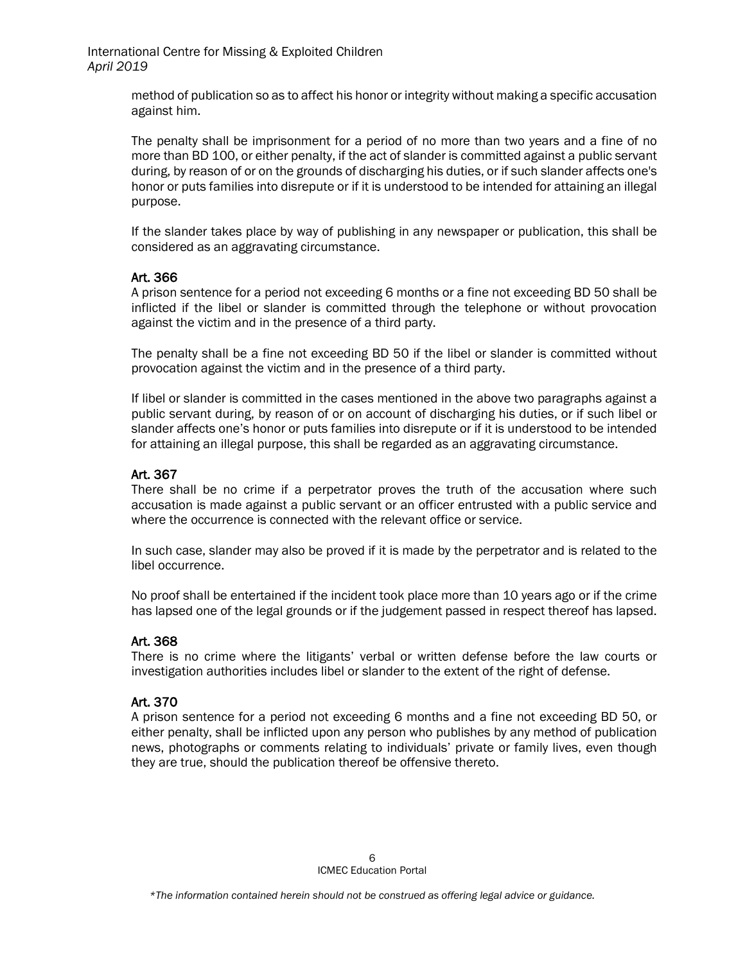> method of publication so as to affect his honor or integrity without making a specific accusation against him.

> The penalty shall be imprisonment for a period of no more than two years and a fine of no more than BD 100, or either penalty, if the act of slander is committed against a public servant during, by reason of or on the grounds of discharging his duties, or if such slander affects one's honor or puts families into disrepute or if it is understood to be intended for attaining an illegal purpose.

> If the slander takes place by way of publishing in any newspaper or publication, this shall be considered as an aggravating circumstance.

## Art. 366

A prison sentence for a period not exceeding 6 months or a fine not exceeding BD 50 shall be inflicted if the libel or slander is committed through the telephone or without provocation against the victim and in the presence of a third party.

The penalty shall be a fine not exceeding BD 50 if the libel or slander is committed without provocation against the victim and in the presence of a third party.

If libel or slander is committed in the cases mentioned in the above two paragraphs against a public servant during, by reason of or on account of discharging his duties, or if such libel or slander affects one's honor or puts families into disrepute or if it is understood to be intended for attaining an illegal purpose, this shall be regarded as an aggravating circumstance.

## Art. 367

There shall be no crime if a perpetrator proves the truth of the accusation where such accusation is made against a public servant or an officer entrusted with a public service and where the occurrence is connected with the relevant office or service.

In such case, slander may also be proved if it is made by the perpetrator and is related to the libel occurrence.

No proof shall be entertained if the incident took place more than 10 years ago or if the crime has lapsed one of the legal grounds or if the judgement passed in respect thereof has lapsed.

## Art. 368

There is no crime where the litigants' verbal or written defense before the law courts or investigation authorities includes libel or slander to the extent of the right of defense.

## Art. 370

A prison sentence for a period not exceeding 6 months and a fine not exceeding BD 50, or either penalty, shall be inflicted upon any person who publishes by any method of publication news, photographs or comments relating to individuals' private or family lives, even though they are true, should the publication thereof be offensive thereto.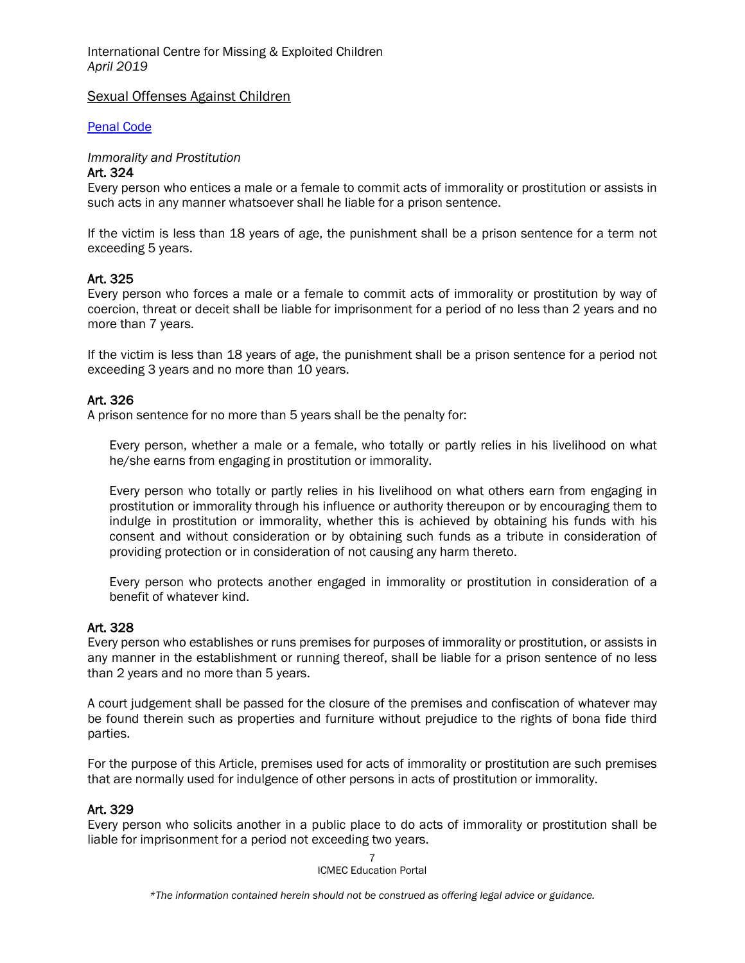#### Sexual Offenses Against Children

[Penal Code](http://www.unodc.org/res/cld/document/bhr/1976/bahrain_penal_code_html/Bahrain_Penal_Code_1976.pdf)

#### *Immorality and Prostitution*

#### Art. 324

Every person who entices a male or a female to commit acts of immorality or prostitution or assists in such acts in any manner whatsoever shall he liable for a prison sentence.

If the victim is less than 18 years of age, the punishment shall be a prison sentence for a term not exceeding 5 years.

## Art. 325

Every person who forces a male or a female to commit acts of immorality or prostitution by way of coercion, threat or deceit shall be liable for imprisonment for a period of no less than 2 years and no more than 7 years.

If the victim is less than 18 years of age, the punishment shall be a prison sentence for a period not exceeding 3 years and no more than 10 years.

## Art. 326

A prison sentence for no more than 5 years shall be the penalty for:

Every person, whether a male or a female, who totally or partly relies in his livelihood on what he/she earns from engaging in prostitution or immorality.

Every person who totally or partly relies in his livelihood on what others earn from engaging in prostitution or immorality through his influence or authority thereupon or by encouraging them to indulge in prostitution or immorality, whether this is achieved by obtaining his funds with his consent and without consideration or by obtaining such funds as a tribute in consideration of providing protection or in consideration of not causing any harm thereto.

Every person who protects another engaged in immorality or prostitution in consideration of a benefit of whatever kind.

#### Art. 328

Every person who establishes or runs premises for purposes of immorality or prostitution, or assists in any manner in the establishment or running thereof, shall be liable for a prison sentence of no less than 2 years and no more than 5 years.

A court judgement shall be passed for the closure of the premises and confiscation of whatever may be found therein such as properties and furniture without prejudice to the rights of bona fide third parties.

For the purpose of this Article, premises used for acts of immorality or prostitution are such premises that are normally used for indulgence of other persons in acts of prostitution or immorality.

#### Art. 329

Every person who solicits another in a public place to do acts of immorality or prostitution shall be liable for imprisonment for a period not exceeding two years.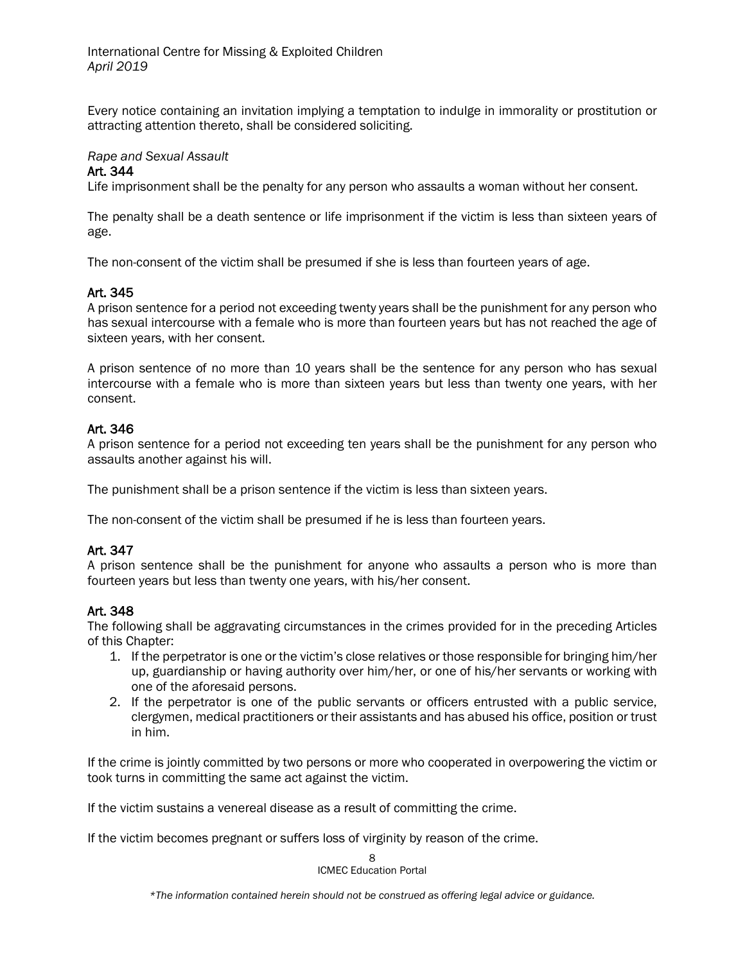Every notice containing an invitation implying a temptation to indulge in immorality or prostitution or attracting attention thereto, shall be considered soliciting.

## *Rape and Sexual Assault*

#### Art. 344

Life imprisonment shall be the penalty for any person who assaults a woman without her consent.

The penalty shall be a death sentence or life imprisonment if the victim is less than sixteen years of age.

The non-consent of the victim shall be presumed if she is less than fourteen years of age.

## Art. 345

A prison sentence for a period not exceeding twenty years shall be the punishment for any person who has sexual intercourse with a female who is more than fourteen years but has not reached the age of sixteen years, with her consent.

A prison sentence of no more than 10 years shall be the sentence for any person who has sexual intercourse with a female who is more than sixteen years but less than twenty one years, with her consent.

## Art. 346

A prison sentence for a period not exceeding ten years shall be the punishment for any person who assaults another against his will.

The punishment shall be a prison sentence if the victim is less than sixteen years.

The non-consent of the victim shall be presumed if he is less than fourteen years.

## Art. 347

A prison sentence shall be the punishment for anyone who assaults a person who is more than fourteen years but less than twenty one years, with his/her consent.

## Art. 348

The following shall be aggravating circumstances in the crimes provided for in the preceding Articles of this Chapter:

- 1. If the perpetrator is one or the victim's close relatives or those responsible for bringing him/her up, guardianship or having authority over him/her, or one of his/her servants or working with one of the aforesaid persons.
- 2. If the perpetrator is one of the public servants or officers entrusted with a public service, clergymen, medical practitioners or their assistants and has abused his office, position or trust in him.

If the crime is jointly committed by two persons or more who cooperated in overpowering the victim or took turns in committing the same act against the victim.

If the victim sustains a venereal disease as a result of committing the crime.

If the victim becomes pregnant or suffers loss of virginity by reason of the crime.

8 ICMEC Education Portal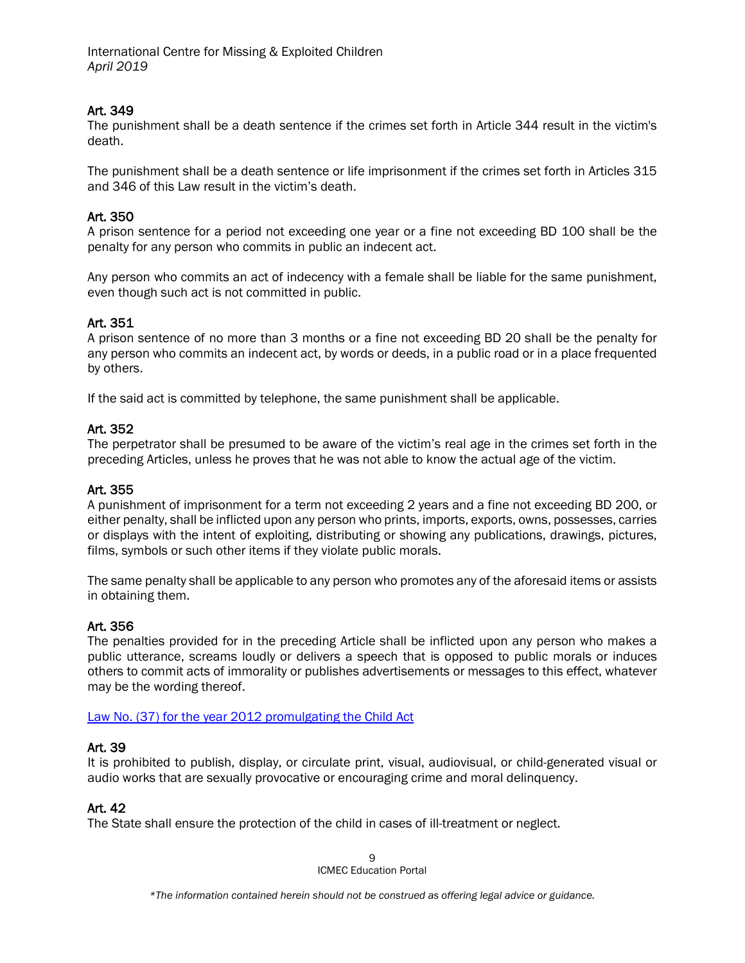# Art. 349

The punishment shall be a death sentence if the crimes set forth in Article 344 result in the victim's death.

The punishment shall be a death sentence or life imprisonment if the crimes set forth in Articles 315 and 346 of this Law result in the victim's death.

## Art. 350

A prison sentence for a period not exceeding one year or a fine not exceeding BD 100 shall be the penalty for any person who commits in public an indecent act.

Any person who commits an act of indecency with a female shall be liable for the same punishment, even though such act is not committed in public.

## Art. 351

A prison sentence of no more than 3 months or a fine not exceeding BD 20 shall be the penalty for any person who commits an indecent act, by words or deeds, in a public road or in a place frequented by others.

If the said act is committed by telephone, the same punishment shall be applicable.

## Art. 352

The perpetrator shall be presumed to be aware of the victim's real age in the crimes set forth in the preceding Articles, unless he proves that he was not able to know the actual age of the victim.

#### Art. 355

A punishment of imprisonment for a term not exceeding 2 years and a fine not exceeding BD 200, or either penalty, shall be inflicted upon any person who prints, imports, exports, owns, possesses, carries or displays with the intent of exploiting, distributing or showing any publications, drawings, pictures, films, symbols or such other items if they violate public morals.

The same penalty shall be applicable to any person who promotes any of the aforesaid items or assists in obtaining them.

#### Art. 356

The penalties provided for in the preceding Article shall be inflicted upon any person who makes a public utterance, screams loudly or delivers a speech that is opposed to public morals or induces others to commit acts of immorality or publishes advertisements or messages to this effect, whatever may be the wording thereof.

#### [Law No. \(37\) for the year 2012 promulgating the Child Act](http://www.legalaffairs.gov.bh/2050.aspx?cms=q8FmFJgiscJUAh5wTFxPQnjc67hw%2bcd53dCDU8XkwhyDqZn9xoYKj00VcN77lrgewZykAGkSyB5uBapJIzI%2fAQ%3d%3d#.XJRBwChKjZs)

#### Art. 39

It is prohibited to publish, display, or circulate print, visual, audiovisual, or child-generated visual or audio works that are sexually provocative or encouraging crime and moral delinquency.

#### Art. 42

The State shall ensure the protection of the child in cases of ill-treatment or neglect.

9 ICMEC Education Portal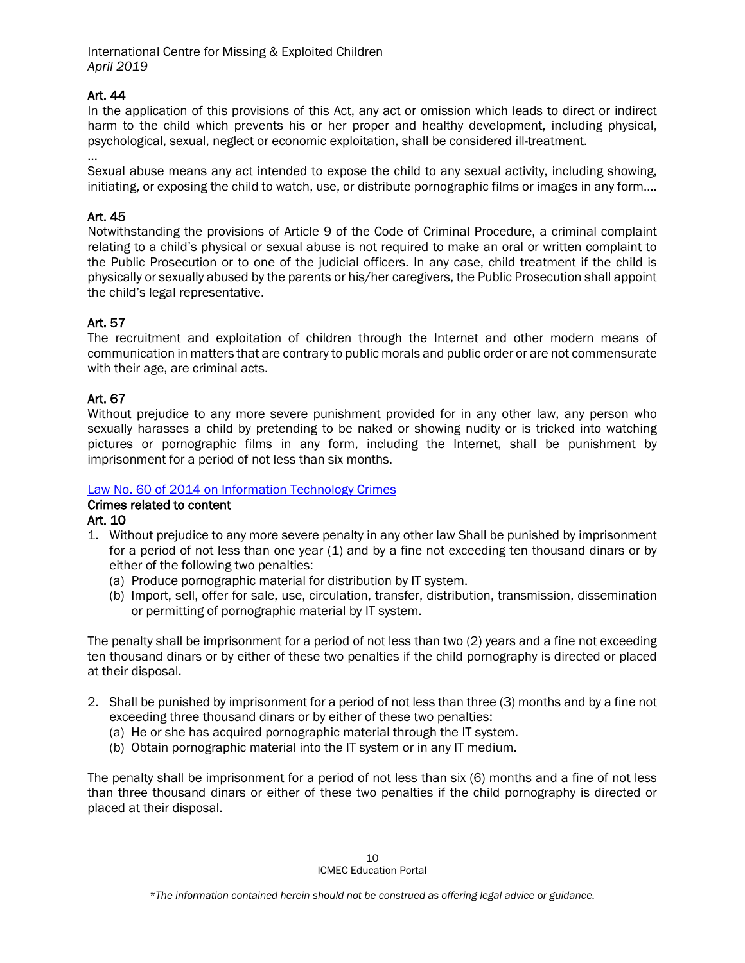## Art. 44

In the application of this provisions of this Act, any act or omission which leads to direct or indirect harm to the child which prevents his or her proper and healthy development, including physical, psychological, sexual, neglect or economic exploitation, shall be considered ill-treatment.

… Sexual abuse means any act intended to expose the child to any sexual activity, including showing, initiating, or exposing the child to watch, use, or distribute pornographic films or images in any form….

## Art. 45

Notwithstanding the provisions of Article 9 of the Code of Criminal Procedure, a criminal complaint relating to a child's physical or sexual abuse is not required to make an oral or written complaint to the Public Prosecution or to one of the judicial officers. In any case, child treatment if the child is physically or sexually abused by the parents or his/her caregivers, the Public Prosecution shall appoint the child's legal representative.

## Art. 57

The recruitment and exploitation of children through the Internet and other modern means of communication in matters that are contrary to public morals and public order or are not commensurate with their age, are criminal acts.

## Art. 67

Without prejudice to any more severe punishment provided for in any other law, any person who sexually harasses a child by pretending to be naked or showing nudity or is tricked into watching pictures or pornographic films in any form, including the Internet, shall be punishment by imprisonment for a period of not less than six months.

## [Law No. 60 of 2014 on Information Technology Crimes](https://www.ilo.org/dyn/natlex/docs/ELECTRONIC/98472/117216/F1563637485/98472.pdf)

## Crimes related to content

Art. 10

- 1. Without prejudice to any more severe penalty in any other law Shall be punished by imprisonment for a period of not less than one year (1) and by a fine not exceeding ten thousand dinars or by either of the following two penalties:
	- (a) Produce pornographic material for distribution by IT system.
	- (b) Import, sell, offer for sale, use, circulation, transfer, distribution, transmission, dissemination or permitting of pornographic material by IT system.

The penalty shall be imprisonment for a period of not less than two (2) years and a fine not exceeding ten thousand dinars or by either of these two penalties if the child pornography is directed or placed at their disposal.

- 2. Shall be punished by imprisonment for a period of not less than three (3) months and by a fine not exceeding three thousand dinars or by either of these two penalties:
	- (a) He or she has acquired pornographic material through the IT system.
	- (b) Obtain pornographic material into the IT system or in any IT medium.

The penalty shall be imprisonment for a period of not less than six (6) months and a fine of not less than three thousand dinars or either of these two penalties if the child pornography is directed or placed at their disposal.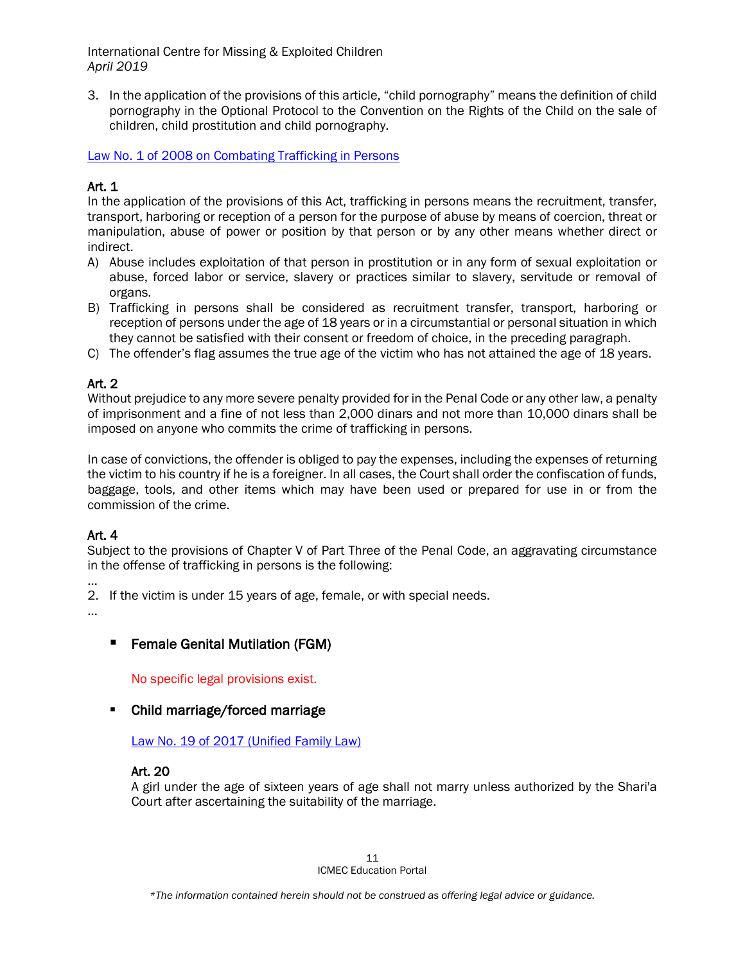3. In the application of the provisions of this article, "child pornography" means the definition of child pornography in the Optional Protocol to the Convention on the Rights of the Child on the sale of children, child prostitution and child pornography.

[Law No. 1 of 2008 on Combating Trafficking in Persons](http://www.gcc-legal.org/DisplayLegislations.aspx?country=6&LawTreeSectionID=9336)

# Art. 1

In the application of the provisions of this Act, trafficking in persons means the recruitment, transfer, transport, harboring or reception of a person for the purpose of abuse by means of coercion, threat or manipulation, abuse of power or position by that person or by any other means whether direct or indirect.

- A) Abuse includes exploitation of that person in prostitution or in any form of sexual exploitation or abuse, forced labor or service, slavery or practices similar to slavery, servitude or removal of organs.
- B) Trafficking in persons shall be considered as recruitment transfer, transport, harboring or reception of persons under the age of 18 years or in a circumstantial or personal situation in which they cannot be satisfied with their consent or freedom of choice, in the preceding paragraph.
- C) The offender's flag assumes the true age of the victim who has not attained the age of 18 years.

# Art. 2

Without prejudice to any more severe penalty provided for in the Penal Code or any other law, a penalty of imprisonment and a fine of not less than 2,000 dinars and not more than 10,000 dinars shall be imposed on anyone who commits the crime of trafficking in persons.

In case of convictions, the offender is obliged to pay the expenses, including the expenses of returning the victim to his country if he is a foreigner. In all cases, the Court shall order the confiscation of funds, baggage, tools, and other items which may have been used or prepared for use in or from the commission of the crime.

## Art. 4

Subject to the provisions of Chapter V of Part Three of the Penal Code, an aggravating circumstance in the offense of trafficking in persons is the following:

… 2. If the victim is under 15 years of age, female, or with special needs.

…

# **F** Female Genital Mutilation (FGM)

No specific legal provisions exist.

# • Child marriage/forced marriage

[Law No. 19 of 2017 \(Unified Family Law\)](http://www.legalaffairs.gov.bh/145311.aspx?cms=q8FmFJgiscJUAh5wTFxPQnjc67hw%2Bcd53dCDU8XkwhyDqZn9xoYKj9f0qG4hSYhex5IjUFv928fIwGx5ECMAsg%3D%3D#.XKOPyphKiUl)

## Art. 20

A girl under the age of sixteen years of age shall not marry unless authorized by the Shari'a Court after ascertaining the suitability of the marriage.

> 11 ICMEC Education Portal